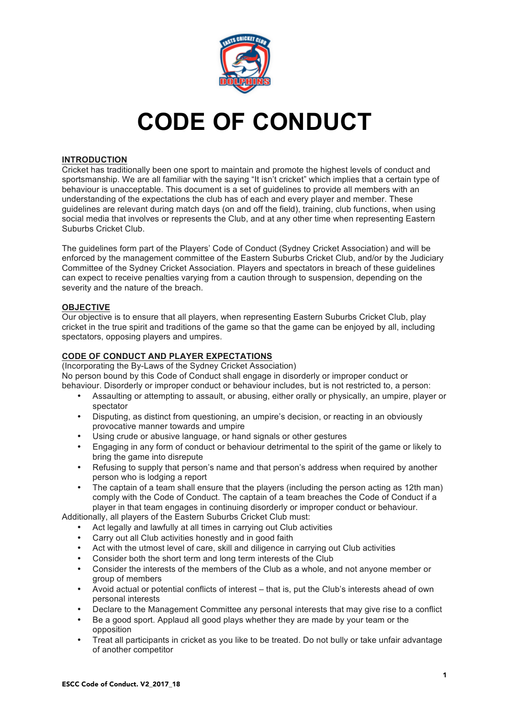

# **CODE OF CONDUCT**

# **INTRODUCTION**

Cricket has traditionally been one sport to maintain and promote the highest levels of conduct and sportsmanship. We are all familiar with the saying "It isn't cricket" which implies that a certain type of behaviour is unacceptable. This document is a set of guidelines to provide all members with an understanding of the expectations the club has of each and every player and member. These guidelines are relevant during match days (on and off the field), training, club functions, when using social media that involves or represents the Club, and at any other time when representing Eastern Suburbs Cricket Club.

The guidelines form part of the Players' Code of Conduct (Sydney Cricket Association) and will be enforced by the management committee of the Eastern Suburbs Cricket Club, and/or by the Judiciary Committee of the Sydney Cricket Association. Players and spectators in breach of these guidelines can expect to receive penalties varying from a caution through to suspension, depending on the severity and the nature of the breach.

# **OBJECTIVE**

Our objective is to ensure that all players, when representing Eastern Suburbs Cricket Club, play cricket in the true spirit and traditions of the game so that the game can be enjoyed by all, including spectators, opposing players and umpires.

# **CODE OF CONDUCT AND PLAYER EXPECTATIONS**

(Incorporating the By-Laws of the Sydney Cricket Association) No person bound by this Code of Conduct shall engage in disorderly or improper conduct or

behaviour. Disorderly or improper conduct or behaviour includes, but is not restricted to, a person:

- Assaulting or attempting to assault, or abusing, either orally or physically, an umpire, player or spectator
- Disputing, as distinct from questioning, an umpire's decision, or reacting in an obviously provocative manner towards and umpire
- Using crude or abusive language, or hand signals or other gestures
- Engaging in any form of conduct or behaviour detrimental to the spirit of the game or likely to bring the game into disrepute
- Refusing to supply that person's name and that person's address when required by another person who is lodging a report
- The captain of a team shall ensure that the players (including the person acting as 12th man) comply with the Code of Conduct. The captain of a team breaches the Code of Conduct if a player in that team engages in continuing disorderly or improper conduct or behaviour.

Additionally, all players of the Eastern Suburbs Cricket Club must:

- Act legally and lawfully at all times in carrying out Club activities
- Carry out all Club activities honestly and in good faith
- Act with the utmost level of care, skill and diligence in carrying out Club activities
- Consider both the short term and long term interests of the Club
- Consider the interests of the members of the Club as a whole, and not anyone member or group of members
- Avoid actual or potential conflicts of interest that is, put the Club's interests ahead of own personal interests
- Declare to the Management Committee any personal interests that may give rise to a conflict
- Be a good sport. Applaud all good plays whether they are made by your team or the opposition
- Treat all participants in cricket as you like to be treated. Do not bully or take unfair advantage of another competitor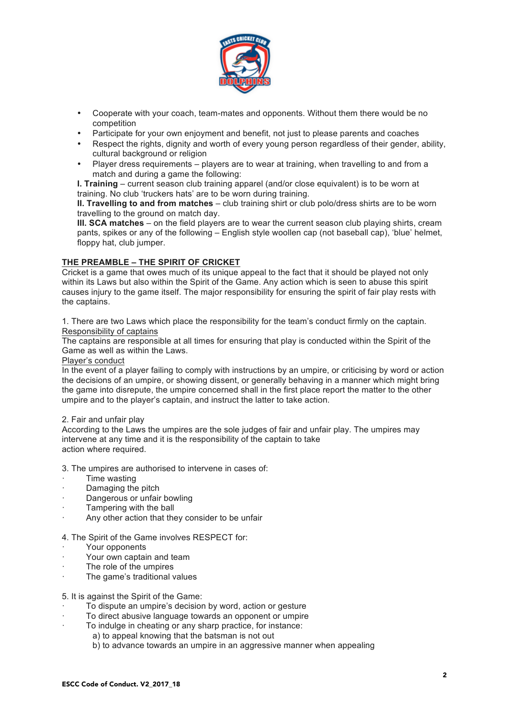

- Cooperate with your coach, team-mates and opponents. Without them there would be no competition
- Participate for your own enjoyment and benefit, not just to please parents and coaches
- Respect the rights, dignity and worth of every young person regardless of their gender, ability, cultural background or religion
- Player dress requirements players are to wear at training, when travelling to and from a match and during a game the following:

**I. Training** – current season club training apparel (and/or close equivalent) is to be worn at training. No club 'truckers hats' are to be worn during training.

**II. Travelling to and from matches** – club training shirt or club polo/dress shirts are to be worn travelling to the ground on match day.

**III. SCA matches** – on the field players are to wear the current season club playing shirts, cream pants, spikes or any of the following – English style woollen cap (not baseball cap), 'blue' helmet, floppy hat, club jumper.

# **THE PREAMBLE – THE SPIRIT OF CRICKET**

Cricket is a game that owes much of its unique appeal to the fact that it should be played not only within its Laws but also within the Spirit of the Game. Any action which is seen to abuse this spirit causes injury to the game itself. The major responsibility for ensuring the spirit of fair play rests with the captains.

1. There are two Laws which place the responsibility for the team's conduct firmly on the captain. Responsibility of captains

The captains are responsible at all times for ensuring that play is conducted within the Spirit of the Game as well as within the Laws.

#### Player's conduct

In the event of a player failing to comply with instructions by an umpire, or criticising by word or action the decisions of an umpire, or showing dissent, or generally behaving in a manner which might bring the game into disrepute, the umpire concerned shall in the first place report the matter to the other umpire and to the player's captain, and instruct the latter to take action.

#### 2. Fair and unfair play

According to the Laws the umpires are the sole judges of fair and unfair play. The umpires may intervene at any time and it is the responsibility of the captain to take action where required.

- 3. The umpires are authorised to intervene in cases of:
- · Time wasting
- · Damaging the pitch
- Dangerous or unfair bowling
- Tampering with the ball
- Any other action that they consider to be unfair

#### 4. The Spirit of the Game involves RESPECT for:

- Your opponents
- Your own captain and team
- The role of the umpires
- The game's traditional values

#### 5. It is against the Spirit of the Game:

- To dispute an umpire's decision by word, action or gesture
- To direct abusive language towards an opponent or umpire
- To indulge in cheating or any sharp practice, for instance:
	- a) to appeal knowing that the batsman is not out
		- b) to advance towards an umpire in an aggressive manner when appealing